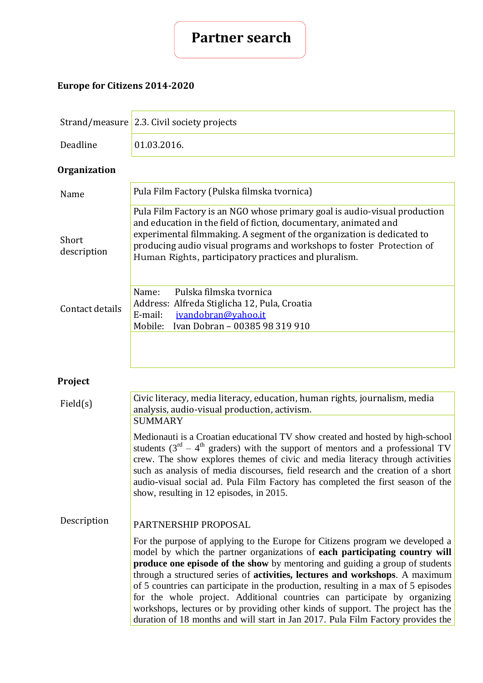

# **Europe for Citizens 2014-2020**

|                      | Strand/measure 2.3. Civil society projects                                                                                                                                                                                                                                                                                                                                                                                                                                                                                                                                                                                                                             |  |
|----------------------|------------------------------------------------------------------------------------------------------------------------------------------------------------------------------------------------------------------------------------------------------------------------------------------------------------------------------------------------------------------------------------------------------------------------------------------------------------------------------------------------------------------------------------------------------------------------------------------------------------------------------------------------------------------------|--|
| Deadline             | 01.03.2016.                                                                                                                                                                                                                                                                                                                                                                                                                                                                                                                                                                                                                                                            |  |
| <b>Organization</b>  |                                                                                                                                                                                                                                                                                                                                                                                                                                                                                                                                                                                                                                                                        |  |
| Name                 | Pula Film Factory (Pulska filmska tvornica)                                                                                                                                                                                                                                                                                                                                                                                                                                                                                                                                                                                                                            |  |
| Short<br>description | Pula Film Factory is an NGO whose primary goal is audio-visual production<br>and education in the field of fiction, documentary, animated and<br>experimental filmmaking. A segment of the organization is dedicated to<br>producing audio visual programs and workshops to foster Protection of<br>Human Rights, participatory practices and pluralism.                                                                                                                                                                                                                                                                                                               |  |
| Contact details      | Pulska filmska tvornica<br>Name:<br>Address: Alfreda Stiglicha 12, Pula, Croatia<br>E-mail:<br>ivandobran@yahoo.it<br>Ivan Dobran - 00385 98 319 910<br>Mobile:                                                                                                                                                                                                                                                                                                                                                                                                                                                                                                        |  |
| Project              |                                                                                                                                                                                                                                                                                                                                                                                                                                                                                                                                                                                                                                                                        |  |
| Field(s)             | Civic literacy, media literacy, education, human rights, journalism, media<br>analysis, audio-visual production, activism.<br><b>SUMMARY</b>                                                                                                                                                                                                                                                                                                                                                                                                                                                                                                                           |  |
|                      | Medionauti is a Croatian educational TV show created and hosted by high-school<br>students $(3rd - 4th$ graders) with the support of mentors and a professional TV<br>crew. The show explores themes of civic and media literacy through activities<br>such as analysis of media discourses, field research and the creation of a short<br>audio-visual social ad. Pula Film Factory has completed the first season of the<br>show, resulting in 12 episodes, in 2015.                                                                                                                                                                                                 |  |
| Description          | PARTNERSHIP PROPOSAL                                                                                                                                                                                                                                                                                                                                                                                                                                                                                                                                                                                                                                                   |  |
|                      | For the purpose of applying to the Europe for Citizens program we developed a<br>model by which the partner organizations of each participating country will<br>produce one episode of the show by mentoring and guiding a group of students<br>through a structured series of activities, lectures and workshops. A maximum<br>of 5 countries can participate in the production, resulting in a max of 5 episodes<br>for the whole project. Additional countries can participate by organizing<br>workshops, lectures or by providing other kinds of support. The project has the<br>duration of 18 months and will start in Jan 2017. Pula Film Factory provides the |  |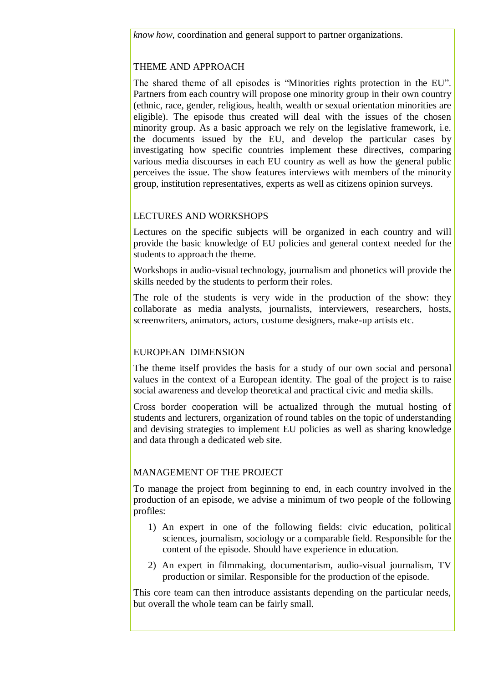# THEME AND APPROACH

The shared theme of all episodes is "Minorities rights protection in the EU". Partners from each country will propose one minority group in their own country (ethnic, race, gender, religious, health, wealth or sexual orientation minorities are eligible). The episode thus created will deal with the issues of the chosen minority group. As a basic approach we rely on the legislative framework, i.e. the documents issued by the EU, and develop the particular cases by investigating how specific countries implement these directives, comparing various media discourses in each EU country as well as how the general public perceives the issue. The show features interviews with members of the minority group, institution representatives, experts as well as citizens opinion surveys.

## LECTURES AND WORKSHOPS

Lectures on the specific subjects will be organized in each country and will provide the basic knowledge of EU policies and general context needed for the students to approach the theme.

Workshops in audio-visual technology, journalism and phonetics will provide the skills needed by the students to perform their roles.

The role of the students is very wide in the production of the show: they collaborate as media analysts, journalists, interviewers, researchers, hosts, screenwriters, animators, actors, costume designers, make-up artists etc.

### EUROPEAN DIMENSION

The theme itself provides the basis for a study of our own social and personal values in the context of a European identity. The goal of the project is to raise social awareness and develop theoretical and practical civic and media skills.

Cross border cooperation will be actualized through the mutual hosting of students and lecturers, organization of round tables on the topic of understanding and devising strategies to implement EU policies as well as sharing knowledge and data through a dedicated web site.

# MANAGEMENT OF THE PROJECT

To manage the project from beginning to end, in each country involved in the production of an episode, we advise a minimum of two people of the following profiles:

- 1) An expert in one of the following fields: civic education, political sciences, journalism, sociology or a comparable field. Responsible for the content of the episode. Should have experience in education.
- 2) An expert in filmmaking, documentarism, audio-visual journalism, TV production or similar. Responsible for the production of the episode.

This core team can then introduce assistants depending on the particular needs, but overall the whole team can be fairly small.